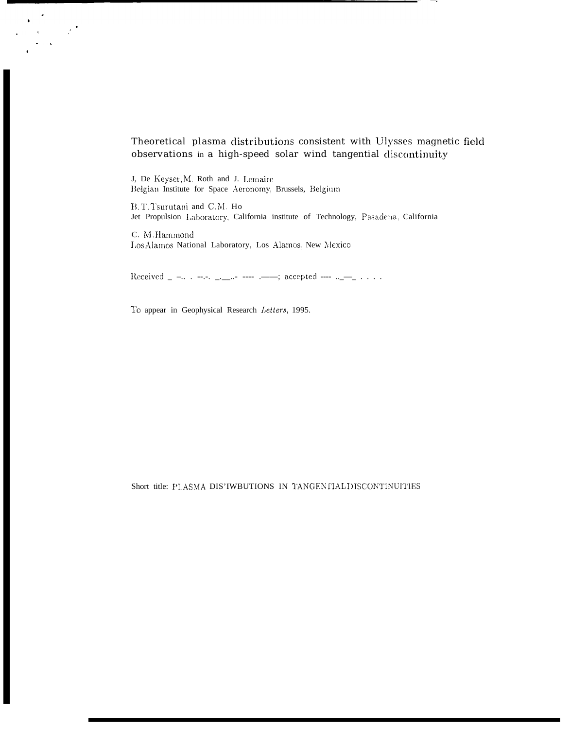# Theoretical plasma distributions consistent with Ulysses magnetic field observations in a high-speed solar wind tangential discontinuity

J, De Keyser, M. Roth and J. Lemaire Belgian Institute for Space Aeronomy, Brussels, Belgium

B.T.Tsurutani and C.M. Ho Jet Propulsion Laboratory, California institute of Technology, Pasadena, California

C. M. Hammond Los Alamos National Laboratory, Los Alamos, New Mexico

Received \_ -.. . --.-. \_.\_\_.- ---- .------; accepted ---- ..\_--\_ . . . .

To appear in Geophysical Research Letters, 1995.

Short title: PLASMA DIS'IWBUTIONS IN TANGENTIAL DISCONTINUITIES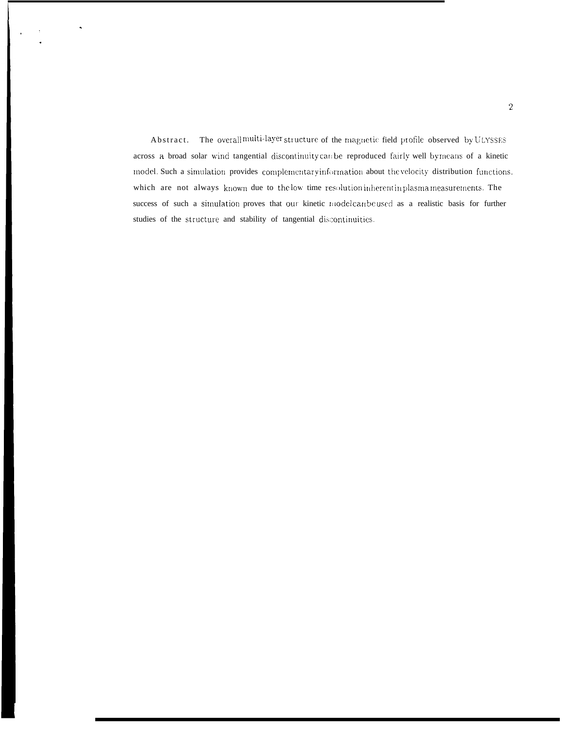Abstract. The overall multi-layer structure of the magnetic field profile observed by ULYSSES across a broad solar wind tangential discontinuity can be reproduced fairly well by means of a kinetic model. Such a simulation provides complementary information about the velocity distribution functions, which are not always known due to the low time resolution inherentin plasma measurements. The success of such a simulation proves that our kinetic model can be used as a realistic basis for further studies of the structure and stability of tangential discontinuities.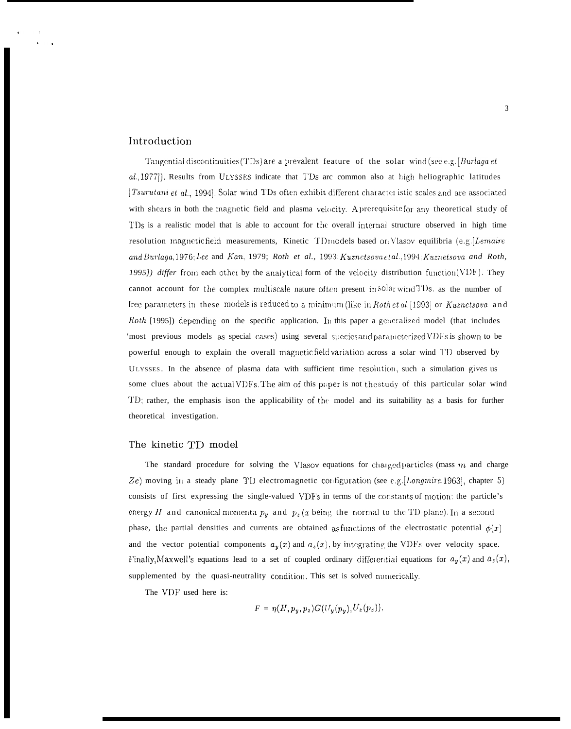## Introduction

Tangential discontinuities (TDs) are a prevalent feature of the solar wind (see e.g. [Burlaga et al.,1977). Results from ULYSSES indicate that TDs arc common also at high heliographic latitudes [Tsurutani et al., 1994]. Solar wind TDs often exhibit different character istic scales and are associated with shears in both the magnetic field and plasma velocity. Aprerequisite for any theoretical study of TDs is a realistic model that is able to account for the overall internal structure observed in high time resolution magnetic field measurements, Kinetic TD models based on Vlasov equilibria (e.g. [Lemaire and Burlaga, 1976; Lee and Kan, 1979; Roth et al., 1993; Kuznetsova etal., 1994; Kuznetsova and Roth, 1995]) differ from each other by the analytical form of the velocity distribution function  $(VDF)$ . They cannot account for the complex multiscale nature often present in solar wind TDs, as the number of free parameters in these models is reduced to a minimum (like in Roth et al. [1993] or Kuznetsova and Roth [1995]) depending on the specific application. In this paper a generalized model (that includes "most previous models as special cases) using several species and parameterized VDFs is shown to be powerful enough to explain the overall magnetic field variation across a solar wind TD observed by ULYSSES. In the absence of plasma data with sufficient time resolution, such a simulation gives us some clues about the actual VDFs. The aim of this paper is not the study of this particular solar wind TD; rather, the emphasis ison the applicability of the model and its suitability as a basis for further theoretical investigation.

#### The kinetic TD model

The standard procedure for solving the Vlasov equations for charged particles (mass  $m$  and charge Ze) moving in a steady plane TD electromagnetic configuration (see e.g. [*Longmire*, 1963], chapter 5) consists of first expressing the single-valued VDF's in terms of the constants of motion: the particle's energy H and canonical momenta  $p_y$  and  $p_z(x)$  being the normal to the TD-plane). In a second phase, the partial densities and currents are obtained as functions of the electrostatic potential  $\phi(x)$ and the vector potential components  $a_y(x)$  and  $a_z(x)$ , by integrating the VDFs over velocity space. Finally, Maxwell's equations lead to a set of coupled ordinary differential equations for  $a_y(x)$  and  $a_z(x)$ , supplemented by the quasi-neutrality condition. This set is solved numerically.

The VDF used here is:

$$
F = \eta(H, p_y, p_z) G(U_y(p_y), U_z(p_z)).
$$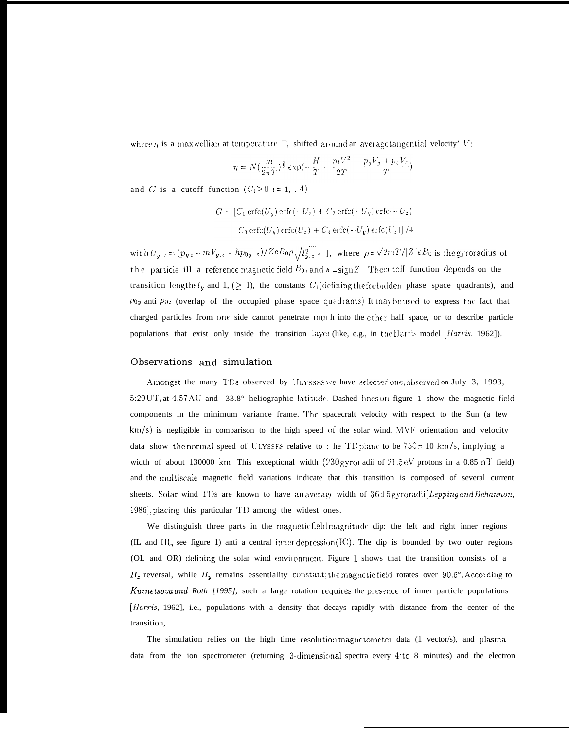where  $\eta$  is a maxwellian at temperature T, shifted around an average tangential velocity' V:

$$
\eta = N(\frac{m}{2\pi T})^{\frac{3}{2}} \exp(-\frac{H}{T} - \frac{mV^2}{2T} + \frac{p_yV_y + p_zV_z}{T})
$$

and G is a cutoff function  $(C_i \ge 0, i = 1, 4)$ 

$$
G = [C_1 \operatorname{erfc}(U_y) \operatorname{erfc}(-U_z) + C_2 \operatorname{erfc}(-U_y) \operatorname{erfc}(-U_z) + C_3 \operatorname{erfc}(U_y) \operatorname{erfc}(U_z) + C_4 \operatorname{erfc}(-U_y) \operatorname{erfc}(U_z)]/4
$$

with  $U_{y,z} = (p_{y,z} - mV_{y,z} - hp_{0y,z})/ZeB_0\rho \sqrt{l_{y,z}^2 - 1}$ , where  $\rho = \sqrt{2mT}/|Z|eB_0$  is the gyroradius of the particle ill a reference magnetic field  $B_0$ , and  $\mathbf{h} = \text{sign} Z$ . The cutoff function depends on the transition lengthsl<sub>y</sub> and 1, (> 1), the constants  $C_i$  (defining the forbidden phase space quadrants), and  $P_{\text{Oy}}$  anti  $P_{\text{Oz}}$  (overlap of the occupied phase space quadrants). It may be used to express the fact that charged particles from one side cannot penetrate much into the other half space, or to describe particle populations that exist only inside the transition layer (like, e.g., in the Harris model [Harris, 1962]).

### Observations and simulation

Amongst the many TDs observed by ULYSSES we have selected one, observed on July 3, 1993, 5:29 UT, at 4.57 AU and -33.8° heliographic latitude. Dashed lines on figure 1 show the magnetic field components in the minimum variance frame. The spacecraft velocity with respect to the Sun (a few km/s) is negligible in comparison to the high speed of the solar wind. MVF orientation and velocity data show the normal speed of ULYSSES relative to : he TD plane to be  $750 \pm 10$  km/s, implying a width of about 130000 km. This exceptional width (230 gyror adii of 21.5 eV protons in a 0.85 nT field) and the multiscale magnetic field variations indicate that this transition is composed of several current sheets. Solar wind TDs are known to have an average width of  $36 \pm 5$  gyroradii [Lepping and Behannon, 1986], placing this particular TD among the widest ones.

We distinguish three parts in the magnetic field magnitude dip: the left and right inner regions (IL and IR, see figure 1) anti a central inner depression (IC). The dip is bounded by two outer regions (OL and OR) defining the solar wind environment. Figure 1 shows that the transition consists of a  $B_z$  reversal, while  $B_y$  remains essentiality constant; the magnetic field rotates over 90.6°. According to Kuznetsova and Roth [1995], such a large rotation requires the presence of inner particle populations *Harris*, 1962], i.e., populations with a density that decays rapidly with distance from the center of the transition,

The simulation relies on the high time resolution magnetometer data (1 vector/s), and plasma data from the ion spectrometer (returning 3-dimensional spectra every 4 to 8 minutes) and the electron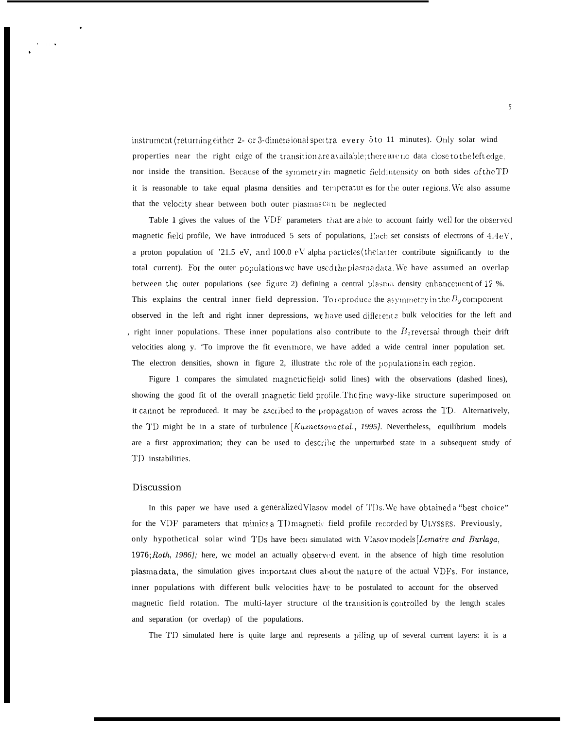instrument (returning either 2- or 3-dimensional spectra every 5 to 11 minutes). Only solar wind properties near the right edge of the transition are available; there are no data close to the left edge, nor inside the transition. Because of the symmetry in magnetic field intensity on both sides of the TD, it is reasonable to take equal plasma densities and temperatures for the outer regions. We also assume that the velocity shear between both outer plasmas<sup>ca</sup>n be neglected

Table 1 gives the values of the VDF parameters that are able to account fairly well for the observed magnetic field profile, We have introduced 5 sets of populations, Each set consists of electrons of 4.4eV, a proton population of '21.5 eV, and 100.0  $\epsilon$ V alpha particles (the latter contribute significantly to the total current). For the outer populations we have used the plasma data. We have assumed an overlap between the outer populations (see figure 2) defining a central plasma density enhancement of 12 %. This explains the central inner field depression. To reproduce the asymmetry in the  $B_y$  component observed in the left and right inner depressions, we have used different z bulk velocities for the left and right inner populations. These inner populations also contribute to the  $B<sub>z</sub>$  reversal through their drift velocities along y. 'To improve the fit even more, we have added a wide central inner population set. The electron densities, shown in figure 2, illustrate the role of the populations in each region.

Figure 1 compares the simulated magnetic field  $\ell$  solid lines) with the observations (dashed lines), showing the good fit of the overall magnetic field profile. The fine wavy-like structure superimposed on it cannot be reproduced. It may be ascribed to the propagation of waves across the TD. Alternatively, the TD might be in a state of turbulence [Kuznetsova et al., 1995]. Nevertheless, equilibrium models are a first approximation; they can be used to describe the unperturbed state in a subsequent study of TD instabilities.

#### **Discussion**

In this paper we have used a generalized Vlasov model of TDs. We have obtained a "best choice" for the VDF parameters that mimics a TD magnetic field profile recorded by ULYSSES. Previously, only hypothetical solar wind TDs have been simulated with Vlasov models [Lemaire and Burlaga, 1976; Roth, 1986]; here, we model an actually observed event. in the absence of high time resolution plasma data, the simulation gives important clues about the nature of the actual VDFs. For instance, inner populations with different bulk velocities have to be postulated to account for the observed magnetic field rotation. The multi-layer structure of the transition is controlled by the length scales and separation (or overlap) of the populations.

The TD simulated here is quite large and represents a piling up of several current layers: it is a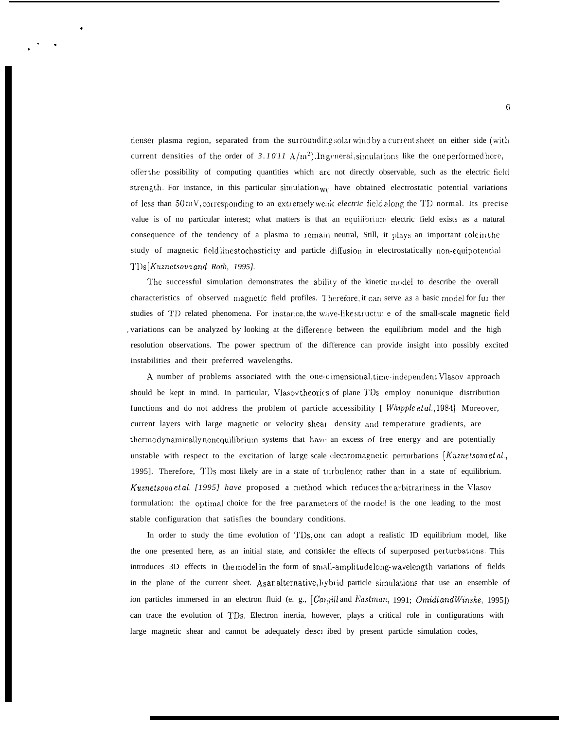denser plasma region, separated from the surrounding solar windby a current sheet on either side (with current densities of the order of 3.1011  $A/m<sup>2</sup>$ ). In general, simulations like the one performed here, offer the possibility of computing quantities which are not directly observable, such as the electric field strength. For instance, in this particular simulation  $w_0$  have obtained electrostatic potential variations of less than 50 mV, corresponding to an extremely weak *electric* field along the TD normal. Its precise value is of no particular interest; what matters is that an equilibrium electric field exists as a natural consequence of the tendency of a plasma to remain neutral, Still, it plays an important role in the study of magnetic fieldlinestochasticity and particle diffusion in electrostatically non-equipotential TI)s [Kuznetsova and Roth, 1995].

The successful simulation demonstrates the ability of the kinetic model to describe the overall characteristics of observed magnetic field profiles. Therefore, it can serve as a basic model for fur ther studies of TD related phenomena. For instance, the wave-like structure of the small-scale magnetic field variations can be analyzed by looking at the difference between the equilibrium model and the high resolution observations. The power spectrum of the difference can provide insight into possibly excited instabilities and their preferred wavelengths.

A number of problems associated with the one-dimensional, time-independent Vlasov approach should be kept in mind. In particular, Vlasov theories of plane TI's employ nonunique distribution functions and do not address the problem of particle accessibility [  $Whipple et al., 1984$ ]. Moreover, current layers with large magnetic or velocity shear, density and temperature gradients, are thermodynamically nonequilibrium systems that have an excess of free energy and are potentially unstable with respect to the excitation of large scale electromagnetic perturbations [Kuznetsovaetal., 1995]. Therefore, TDs most likely are in a state of turbulence rather than in a state of equilibrium. Kuznetsova et al. [1995] have proposed a method which reduces the arbitrariness in the Vlasov formulation: the optimal choice for the free parameters of the model is the one leading to the most stable configuration that satisfies the boundary conditions.

In order to study the time evolution of TDs, one can adopt a realistic ID equilibrium model, like the one presented here, as an initial state, and consider the effects of superposed perturbations. This introduces 3D effects in the model in the form of small-amplitude long-wavelength variations of fields in the plane of the current sheet. As analternative, hybrid particle simulations that use an ensemble of ion particles immersed in an electron fluid (e. g.,  $[Cargill$  and Eastman, 1991; Omidi and Winske, 1995]) can trace the evolution of TDs. Electron inertia, however, plays a critical role in configurations with large magnetic shear and cannot be adequately described by present particle simulation codes,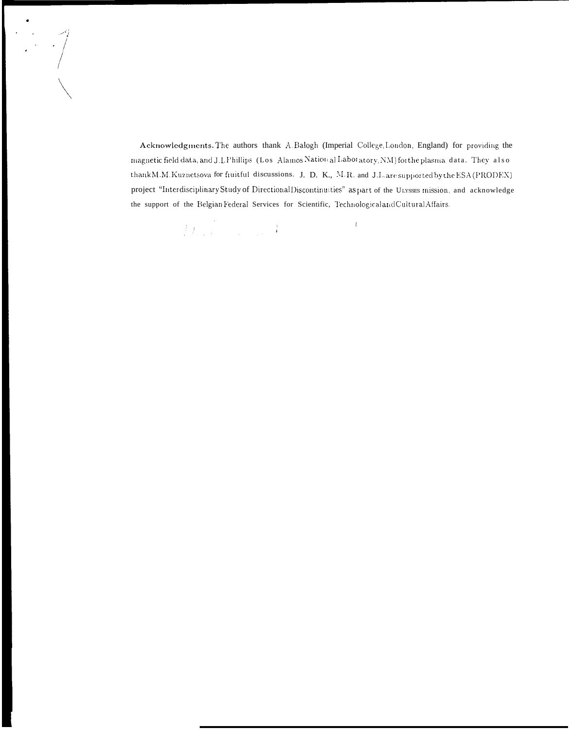$\begin{array}{c} \begin{array}{c} \begin{array}{c} \begin{array}{c} \end{array} \\ \begin{array}{c} \end{array} \\ \begin{array}{c} \end{array} \end{array} \end{array} \end{array}$ 

Acknowledgments. The authors thank A.Balogh (Imperial College, London, England) for providing the magnetic field data, and J.L Phillips (Los Alamos Nation al Labot atory, NM) for the plasma data. They also thank M.M. Kuznetsova for fiuitful discussions. J. D. K., M.R. and J.L. are supported by the ESA (PRODEX) project "Interdisciplinary Study of Directional Discontinuities" as part of the ULYSSES mission, and acknowledge the support of the Belgian Federal Services for Scientific, Technological and Cultural Affairs.

> $\int_{\mathbb{R}^d} \int_{\mathbb{R}^d} \frac{1}{\sqrt{2\pi}} \int_{\mathbb{R}^d} \frac{1}{\sqrt{2\pi}} \int_{\mathbb{R}^d} \frac{1}{\sqrt{2\pi}} \int_{\mathbb{R}^d} \frac{1}{\sqrt{2\pi}} \int_{\mathbb{R}^d} \frac{1}{\sqrt{2\pi}} \int_{\mathbb{R}^d} \frac{1}{\sqrt{2\pi}} \int_{\mathbb{R}^d} \frac{1}{\sqrt{2\pi}} \int_{\mathbb{R}^d} \frac{1}{\sqrt{2\pi}} \int_{\mathbb{R}^d} \frac{1$  $\mathfrak{f}$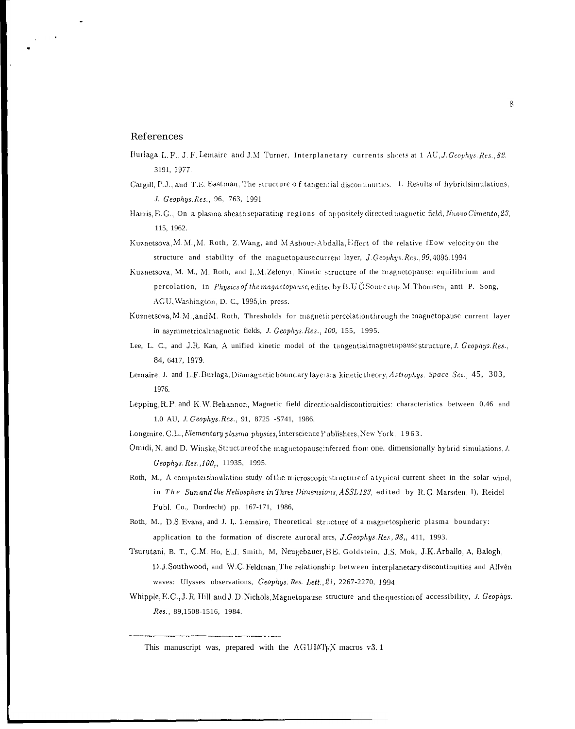### References

- Burlaga, L. F., J. F. Lemaire, and J.M. Turner, Interplanetary currents sheets at 1 AU, J. Geophys. Res., 82. 3191, 1977.
- Cargill, P.J., and T.E. Eastman, The structure of tangential discontinuities. 1. Results of hybrid simulations, J. Geophys. Kes., 96, 763, 1991.
- Harris, E.G., On a plasma sheath separating regions of oppositely directed magnetic field, Nuovo Cimento, 23, 115, 1962.
- Kuznetsova, M. M., M. Roth, Z. Wang, and MAshour-Abdalla, Effect of the relative fEow velocity on the structure and stability of the magnetopause current layer, J. Geophys. Res., 99, 4095, 1994.
- Kuznetsova, M. M., M. Roth, and L.M.Zelenyi, Kinetic structure of the magnetopause: equilibrium and percolation, in *Physics of the magnetopause*, edited by B.U ÖSounerup, M. Thomsen, anti P. Song, AGU, Washington, D. C., 1995, in press.
- Kuznetsova, M.M., and M. Roth, Thresholds for magnetic percolation through the magnetopause current layer in asymmetrical magnetic fields, J. Geophys. Res., 100, 155, 1995.
- Lee, L. C., and J.R. Kan, A unified kinetic model of the tangential magnetopause structure, J. Geophys. Res., 84, 6417, 1979.
- Lemaire, J. and L.F.Burlaga, Diamagnetic boundary layers: a kinetic theory, Astrophys. Space Sci., 45, 303, 1976.
- Lepping, R.P. and K.W.Behannon, Magnetic field directional discontinuities: characteristics between 0.46 and 1.0 AU, J. Geophys. Res., 91, 8725 -S741, 1986.
- Longmire, C.L., Elementary plasma physics, Interscience Publishers, New York, 1963.
- Omidi, N. and D. Winske, Structure of the magnetopause inferred from one. dimensionally hybrid simulations, J. Geophys. Res., 100,, 11935, 1995.
- Roth, M., A computersimulation study of the microscopic structure of a typical current sheet in the solar wind, in The Sun and the Heliosphere in Three Dimensions, ASSL123, edited by R.G. Marsden, I), Reidel Publ. Co., Dordrecht) pp. 167-171, 1986,
- Roth, M., D.S. Evans, and J. I. Lemaire, Theoretical structure of a magnetospheric plasma boundary: application to the formation of discrete auroral arcs, J. Geophys. Res., 98,, 411, 1993.
- Tsurutani, B. T., C.M. Ho, E.J. Smith, M. Neugebauer, B.E. Goldstein, J.S. Mok, J.K. Arballo, A. Balogh, D.J.Southwood, and W.C.Feldman, The relationship between interplanetary discontinuities and Alfvén waves: Ulysses observations, Geophys. Res. Lett., 21, 2267-2270, 1994.
- Whipple, E.C., J. R. Hill, and J. D. Nichols, Magnetopause structure and the question of accessibility, J. Geophys. Res., 89,1508-1516, 1984.

This manuscript was, prepared with the AGUIATEX macros v3.1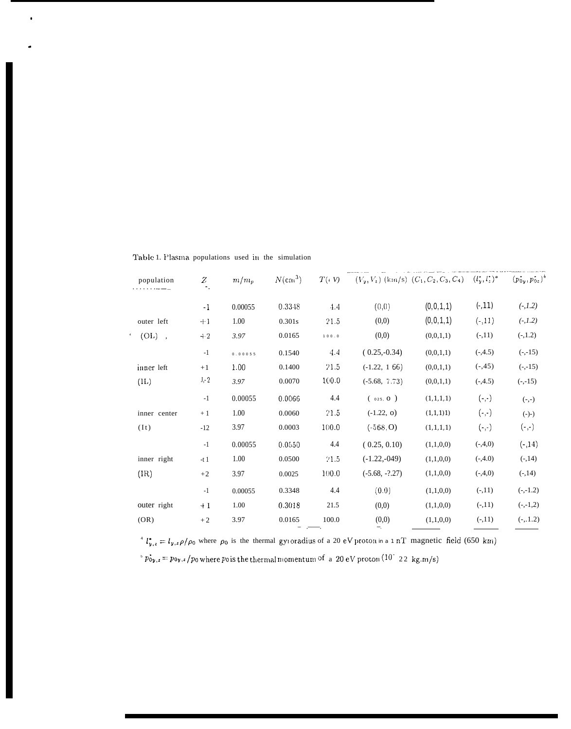| Table 1. Plasma populations used in the simulation |  |  |  |  |  |  |
|----------------------------------------------------|--|--|--|--|--|--|
|----------------------------------------------------|--|--|--|--|--|--|

| population    | Z       | $m/m_p$ | $N$ (cm <sup>3</sup> ) |       | $T(\epsilon V) = (V_y, V_z)$ (km/s) $(C_1, C_2, C_3, C_4) = (l_y^*, l_z^*)^a$ |           |           | $(p_{0y}^*, p_{0z}^*)^t$ |
|---------------|---------|---------|------------------------|-------|-------------------------------------------------------------------------------|-----------|-----------|--------------------------|
|               | $-1$    | 0.00055 | 0.3348                 | 4.4   | (0, 0)                                                                        | (0,0,1,1) | $(-,11)$  | $(-,1.2)$                |
| outer left    | $+1$    | 1.00    | 0.301s                 | 21.5  | (0,0)                                                                         | (0,0,1,1) | $(-,11)$  | $(-, 1.2)$               |
| $(OL)$ ,      | $+2$    | 3.97    | 0.0165                 | 100.0 | (0,0)                                                                         | (0,0,1,1) | $(-11)$   | $(-,1.2)$                |
|               | $-1$    | 0.00055 | 0.1540                 | 4.4   | $(0.25,-0.34)$                                                                | (0,0,1,1) | $(-,4.5)$ | $(-,-15)$                |
| inner left    | $+1$    | 1.00    | 0.1400                 | 21.5  | $(-1.22, 166)$                                                                | (0,0,1,1) | $(-,45)$  | $(-,-15)$                |
| (II)          | $J - 2$ | 3.97    | 0.0070                 | 100.0 | $(-5.68, 7.73)$                                                               | (0,0,1,1) | $(-,4.5)$ | $(-,-15)$                |
|               | $-1$    | 0.00055 | 0.0066                 | 4.4   | (025, 0)                                                                      | (1,1,1,1) | $(-,-)$   | $(-,-)$                  |
| inner center  | $+1$    | 1.00    | 0.0060                 | 21.5  | $(-1.22, 0)$                                                                  | (1,1,1)1) | $(-,-)$   | $(-)$ -)                 |
| (It)          | $-12$   | 3.97    | 0.0003                 | 100.0 | $(-568, 0)$                                                                   | (1,1,1,1) | $(-,-)$   | $(-, -)$                 |
|               | $-1$    | 0.00055 | 0.0550                 | 4.4   | (0.25, 0.10)                                                                  | (1,1,0,0) | $(-,4,0)$ | $(-,14)$                 |
| inner right   | $-t1$   | 1.00    | 0.0500                 | 21.5  | $(-1.22,-049)$                                                                | (1,1,0,0) | $(-,4.0)$ | $(-,14)$                 |
| $(\text{IR})$ | $+2$    | 3.97    | 0.0025                 | 100.0 | $(-5.68, -?27)$                                                               | (1,1,0,0) | $(-,4,0)$ | $(-,14)$                 |
|               | $-1$    | 0.00055 | 0.3348                 | 4.4   | (0.0)                                                                         | (1,1,0,0) | $(-,11)$  | $(-,-1.2)$               |
| outer right   | $+1$    | 1.00    | 0.3018                 | 21.5  | (0,0)                                                                         | (1,1,0,0) | $(-,11)$  | $(-,-1,2)$               |
| (OR)          | $+2$    | 3.97    | 0.0165                 | 100.0 | (0,0)                                                                         | (1,1,0,0) | $(-,11)$  | $(-, 1.2)$               |
|               |         |         |                        |       |                                                                               |           |           |                          |

<sup>4</sup>  $l_{y,z} = l_{y,z} \rho / \rho_0$  where  $\rho_0$  is the thermal gyroradius of a 20 eV proton in a 1 nT magnetic field (650 km)  $\epsilon_{\rm D}$   $\vec{p}_{\rm O}$ ,  $\epsilon = p_{\rm O}$ ,  $\epsilon$  /  $p_{\rm 0}$  where  $p_{\rm 0}$  is the thermal momentum of  $\,$  a  $\,$  20 eV proton  $(10^{-}$   $\,$  22  $\,$  kg.m/s)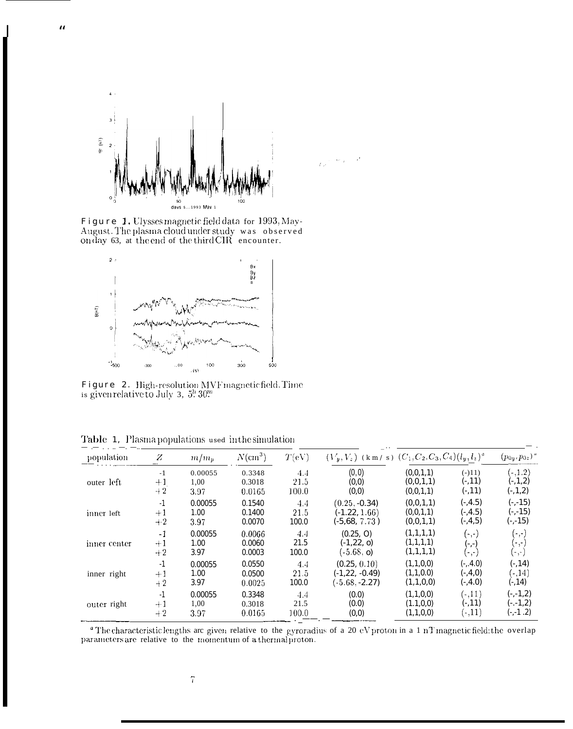

 $\boldsymbol{u}$ 

Figure 1. Ulysses magnetic field data for 1993, May-<br>August. The plasma cloud under study was observed on day 63, at the end of the third CIR encounter.



 $\texttt{Figure 2. High-resolution MVF magnetic field.}$  is given relative<br>to July 3,  $5\overset{h}{.}30\overset{m}{.}$ 

|  |  |  |  |  | <b>Table 1.</b> Plasma populations used in the simulation |  |  |  |  |
|--|--|--|--|--|-----------------------------------------------------------|--|--|--|--|
|--|--|--|--|--|-----------------------------------------------------------|--|--|--|--|

| population   | Z                | m/m <sub>p</sub> | $N(\text{cm}^3)$ | T(eV) | $(V_y, V_z)$ (km/s) $(C_1, C_2, C_3, C_4)$ $(l_y, l_z)^a$ |            |                              | $(p_{0y}, p_{0z})$ " |
|--------------|------------------|------------------|------------------|-------|-----------------------------------------------------------|------------|------------------------------|----------------------|
| outer left   | $-1$             | 0.00055          | 0.3348           | 4.4   | (0, 0)                                                    | (0,0,1,1)  | $(-111)$                     | $(-,1.2)$            |
|              | $+1$             | 1.00             | 0.3018           | 21.5  | (0,0)                                                     | (0,0,1,1)  | $(-,11)$                     | $(-,1,2)$            |
|              | $+2$             | 3.97             | 0.0165           | 100.0 | (0,0)                                                     | (0,0,1,1)  | $(-,11)$                     | $(-,1,2)$            |
| inner left   | $-1$             | 0.00055          | 0.1540           | 4.4   | $(0.25, -0.34)$                                           | (0,0,1,1)  | $(-, 4.5)$                   | $(-,-15)$            |
|              | $+1$             | 1.00             | 0.1400           | 21.5  | $(-1.22, 1.66)$                                           | (0,0,1,1)  | $(-, 4.5)$                   | $(-,-15)$            |
|              | $+2$             | 3.97             | 0.0070           | 100.0 | $(-5,68, 7.73)$                                           | (0,0,1,1)  | $(-,4,5)$                    | $(-,-15)$            |
| inner center | $-1$             | 0.00055          | 0.0066           | 4.4   | (0.25, 0)                                                 | (1,1,1,1)  | $(\text{-},\text{-})$        | $(-,-)$              |
|              | $^{\mathrm{+1}}$ | 1.00             | 0.0060           | 21.5  | $(-1,22, 0)$                                              | (1,1,1,1)  | (-,-)                        | (-,-)                |
|              | $+2$             | 3.97             | 0.0003           | 100.0 | $(-5.68, o)$                                              | (1,1,1,1)  |                              | (-,-)                |
| inner right  | $-1$             | 0.00055          | 0.0550           | 4.4   | (0.25, 0.10)                                              | (1,1,0,0)  | $(-, 4.0)$                   | $(-, 14)$            |
|              | $+1$             | 1.00             | 0.0500           | 21.5  | $(-1, 22, -0.49)$                                         | (1,1,0.0)  | $(-, 4, 0)$                  | $(-,14)$             |
|              | $+2$             | 3.97             | 0.0025           | 100.0 | $(-5.68, -2.27)$                                          | (1,1,0,0)  | $(-, 4.0)$                   | $(-, 14)$            |
| outer right  | $-1$             | 0.00055          | 0.3348           | 4.4   | (0.0)                                                     | (1,1,0,0)  | $(-,11)$                     | $(-,-1,2)$           |
|              | $+1$             | 1,00             | 0.3018           | 21.5  | (0.0)                                                     | (1.1, 0.0) | $(-,11)$                     | $(-. -1, 2)$         |
|              | $+2$             | 3.97             | 0.0165           | 100.0 | (0,0)                                                     | (1,1,0,0)  | $\left(  \cdot , 11 \right)$ | $(-,-1.2)$           |

<sup>a</sup> The characteristic lengths are given relative to the gyroradius of a 20 eV proton in a 1 nT magnetic field: the overlap parameters are relative to the momentum of a thermal proton.